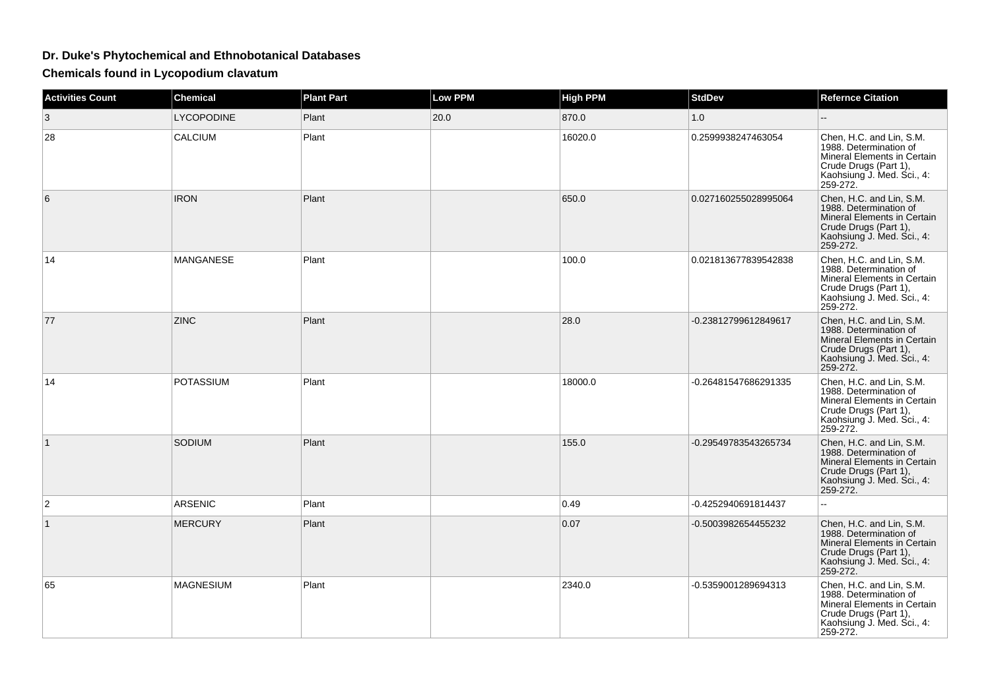## **Dr. Duke's Phytochemical and Ethnobotanical Databases**

**Chemicals found in Lycopodium clavatum**

| <b>Activities Count</b> | <b>Chemical</b>   | <b>Plant Part</b> | <b>Low PPM</b> | <b>High PPM</b> | <b>StdDev</b>        | <b>Refernce Citation</b>                                                                                                                             |
|-------------------------|-------------------|-------------------|----------------|-----------------|----------------------|------------------------------------------------------------------------------------------------------------------------------------------------------|
| 3                       | <b>LYCOPODINE</b> | Plant             | 20.0           | 870.0           | 1.0                  |                                                                                                                                                      |
| 28                      | CALCIUM           | Plant             |                | 16020.0         | 0.2599938247463054   | Chen, H.C. and Lin, S.M.<br>1988. Determination of<br>Mineral Elements in Certain<br>Crude Drugs (Part 1),<br>Kaohsiung J. Med. Sci., 4:<br>259-272. |
| 6                       | <b>IRON</b>       | Plant             |                | 650.0           | 0.027160255028995064 | Chen, H.C. and Lin, S.M.<br>1988. Determination of<br>Mineral Elements in Certain<br>Crude Drugs (Part 1),<br>Kaohsiung J. Med. Sci., 4:<br>259-272. |
| 14                      | MANGANESE         | Plant             |                | 100.0           | 0.021813677839542838 | Chen, H.C. and Lin, S.M.<br>1988. Determination of<br>Mineral Elements in Certain<br>Crude Drugs (Part 1),<br>Kaohsiung J. Med. Sci., 4:<br>259-272. |
| 77                      | <b>ZINC</b>       | Plant             |                | 28.0            | -0.23812799612849617 | Chen, H.C. and Lin, S.M.<br>1988. Determination of<br>Mineral Elements in Certain<br>Crude Drugs (Part 1),<br>Kaohsiung J. Med. Sci., 4:<br>259-272. |
| 14                      | <b>POTASSIUM</b>  | Plant             |                | 18000.0         | -0.26481547686291335 | Chen, H.C. and Lin, S.M.<br>1988. Determination of<br>Mineral Elements in Certain<br>Crude Drugs (Part 1),<br>Kaohsiung J. Med. Sci., 4:<br>259-272. |
| $\mathbf{1}$            | SODIUM            | Plant             |                | 155.0           | -0.29549783543265734 | Chen, H.C. and Lin, S.M.<br>1988. Determination of<br>Mineral Elements in Certain<br>Crude Drugs (Part 1),<br>Kaohsiung J. Med. Sci., 4:<br>259-272. |
| 2                       | <b>ARSENIC</b>    | Plant             |                | 0.49            | -0.4252940691814437  | u.                                                                                                                                                   |
| $\mathbf{1}$            | <b>MERCURY</b>    | Plant             |                | 0.07            | -0.5003982654455232  | Chen, H.C. and Lin, S.M.<br>1988. Determination of<br>Mineral Elements in Certain<br>Crude Drugs (Part 1),<br>Kaohsiung J. Med. Sci., 4:<br>259-272. |
| 65                      | <b>MAGNESIUM</b>  | Plant             |                | 2340.0          | -0.5359001289694313  | Chen, H.C. and Lin, S.M.<br>1988. Determination of<br>Mineral Elements in Certain<br>Crude Drugs (Part 1),<br>Kaohsiung J. Med. Sci., 4:<br>259-272. |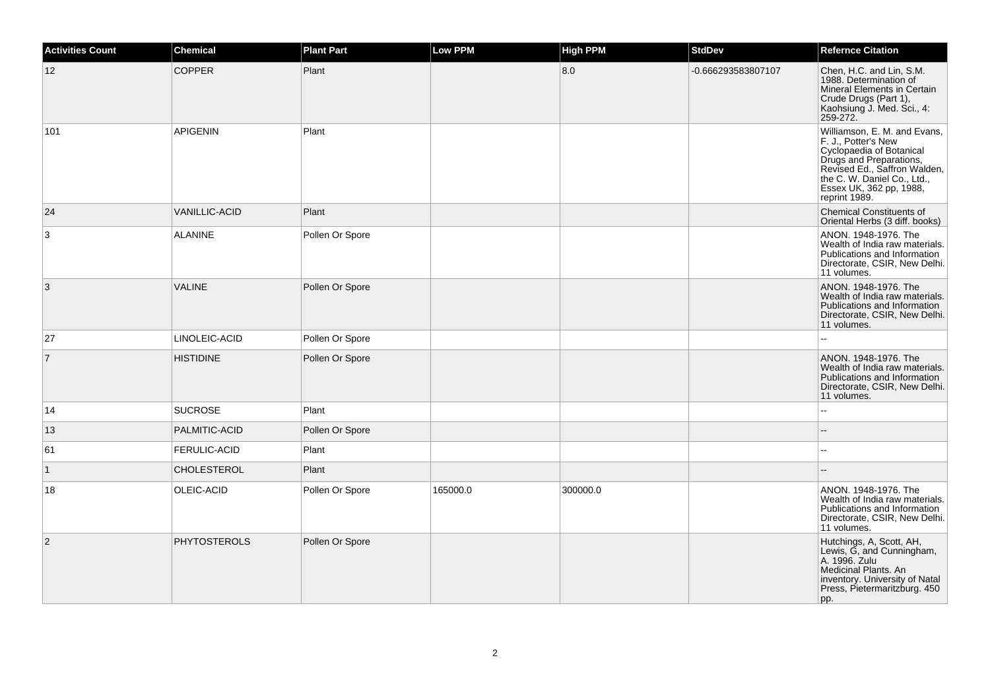| Activities Count | <b>Chemical</b>      | <b>Plant Part</b> | <b>Low PPM</b> | <b>High PPM</b> | <b>StdDev</b>      | <b>Refernce Citation</b>                                                                                                                                                                                              |
|------------------|----------------------|-------------------|----------------|-----------------|--------------------|-----------------------------------------------------------------------------------------------------------------------------------------------------------------------------------------------------------------------|
| 12               | <b>COPPER</b>        | Plant             |                | 8.0             | -0.666293583807107 | Chen, H.C. and Lin, S.M.<br>1988. Determination of<br>Mineral Elements in Certain<br>Crude Drugs (Part 1),<br>Kaohsiung J. Med. Sci., 4:<br>259-272.                                                                  |
| 101              | <b>APIGENIN</b>      | Plant             |                |                 |                    | Williamson, E. M. and Evans,<br>F. J., Potter's New<br>Cyclopaedia of Botanical<br>Drugs and Preparations,<br>Revised Ed., Saffron Walden,<br>the C. W. Daniel Co., Ltd.,<br>Essex UK, 362 pp, 1988,<br>reprint 1989. |
| 24               | <b>VANILLIC-ACID</b> | Plant             |                |                 |                    | <b>Chemical Constituents of</b><br>Oriental Herbs (3 diff. books)                                                                                                                                                     |
| 3                | <b>ALANINE</b>       | Pollen Or Spore   |                |                 |                    | ANON. 1948-1976. The<br>Wealth of India raw materials.<br>Publications and Information<br>Directorate, CSIR, New Delhi.<br>11 volumes.                                                                                |
| 3                | <b>VALINE</b>        | Pollen Or Spore   |                |                 |                    | ANON. 1948-1976. The<br>Wealth of India raw materials.<br>Publications and Information<br>Directorate, CSIR, New Delhi.<br>11 volumes.                                                                                |
| 27               | LINOLEIC-ACID        | Pollen Or Spore   |                |                 |                    |                                                                                                                                                                                                                       |
| $\overline{7}$   | <b>HISTIDINE</b>     | Pollen Or Spore   |                |                 |                    | ANON. 1948-1976. The<br>Wealth of India raw materials.<br>Publications and Information<br>Directorate, CSIR, New Delhi.<br>11 volumes.                                                                                |
| 14               | <b>SUCROSE</b>       | Plant             |                |                 |                    | $\overline{a}$                                                                                                                                                                                                        |
| 13               | PALMITIC-ACID        | Pollen Or Spore   |                |                 |                    |                                                                                                                                                                                                                       |
| 61               | <b>FERULIC-ACID</b>  | Plant             |                |                 |                    | $\overline{a}$                                                                                                                                                                                                        |
| $\mathbf{1}$     | <b>CHOLESTEROL</b>   | Plant             |                |                 |                    |                                                                                                                                                                                                                       |
| 18               | OLEIC-ACID           | Pollen Or Spore   | 165000.0       | 300000.0        |                    | ANON. 1948-1976. The<br>Wealth of India raw materials.<br>Publications and Information<br>Directorate, CSIR, New Delhi.<br>11 volumes.                                                                                |
| 2                | <b>PHYTOSTEROLS</b>  | Pollen Or Spore   |                |                 |                    | Hutchings, A, Scott, AH,<br>Lewis, G, and Cunningham,<br>A. 1996. Zulu<br>Medicinal Plants. An<br>inventory. University of Natal<br>Press, Pietermaritzburg. 450<br>pp.                                               |